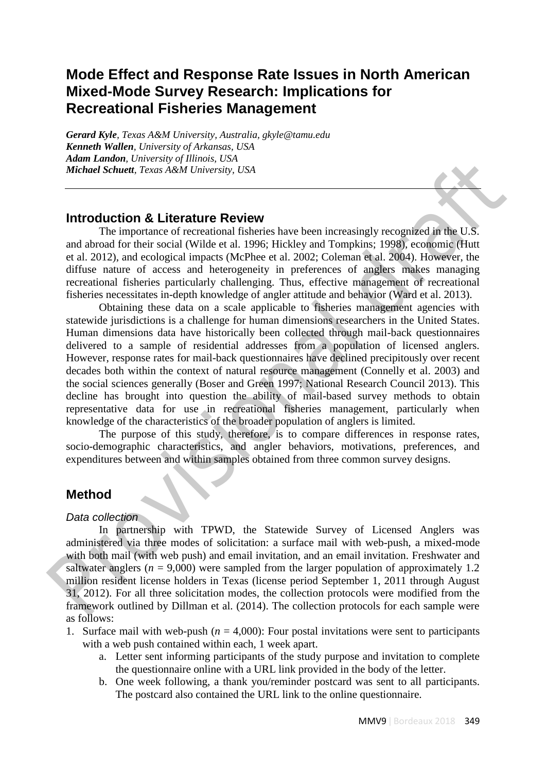# **Mode Effect and Response Rate Issues in North American Mixed-Mode Survey Research: Implications for Recreational Fisheries Management**

*Gerard Kyle, Texas A&M University, Australia, gkyle@tamu.edu Kenneth Wallen, University of Arkansas, USA Adam Landon, University of Illinois, USA Michael Schuett, Texas A&M University, USA*

# **Introduction & Literature Review**

The importance of recreational fisheries have been increasingly recognized in the U.S. and abroad for their social (Wilde et al. 1996; Hickley and Tompkins; 1998), economic (Hutt et al. 2012), and ecological impacts (McPhee et al. 2002; Coleman et al. 2004). However, the diffuse nature of access and heterogeneity in preferences of anglers makes managing recreational fisheries particularly challenging. Thus, effective management of recreational fisheries necessitates in-depth knowledge of angler attitude and behavior (Ward et al. 2013).

Obtaining these data on a scale applicable to fisheries management agencies with statewide jurisdictions is a challenge for human dimensions researchers in the United States. Human dimensions data have historically been collected through mail-back questionnaires delivered to a sample of residential addresses from a population of licensed anglers. However, response rates for mail-back questionnaires have declined precipitously over recent decades both within the context of natural resource management (Connelly et al. 2003) and the social sciences generally (Boser and Green 1997; National Research Council 2013). This decline has brought into question the ability of mail-based survey methods to obtain representative data for use in recreational fisheries management, particularly when knowledge of the characteristics of the broader population of anglers is limited. **Attain vinter.** (merrision of the metrical control of the studies the proportion of the metrical draftic reaction of the metrical draftic research of the metrical draftic research of the metrical draftic research (ESA) a

The purpose of this study, therefore, is to compare differences in response rates, socio-demographic characteristics, and angler behaviors, motivations, preferences, and expenditures between and within samples obtained from three common survey designs.

## **Method**

### *Data collection*

In partnership with TPWD, the Statewide Survey of Licensed Anglers was administered via three modes of solicitation: a surface mail with web-push, a mixed-mode with both mail (with web push) and email invitation, and an email invitation. Freshwater and saltwater anglers ( $n = 9.000$ ) were sampled from the larger population of approximately 1.2 million resident license holders in Texas (license period September 1, 2011 through August 31, 2012). For all three solicitation modes, the collection protocols were modified from the framework outlined by Dillman et al. (2014). The collection protocols for each sample were as follows:

- 1. Surface mail with web-push  $(n = 4,000)$ : Four postal invitations were sent to participants with a web push contained within each, 1 week apart.
	- a. Letter sent informing participants of the study purpose and invitation to complete the questionnaire online with a URL link provided in the body of the letter.
	- b. One week following, a thank you/reminder postcard was sent to all participants. The postcard also contained the URL link to the online questionnaire.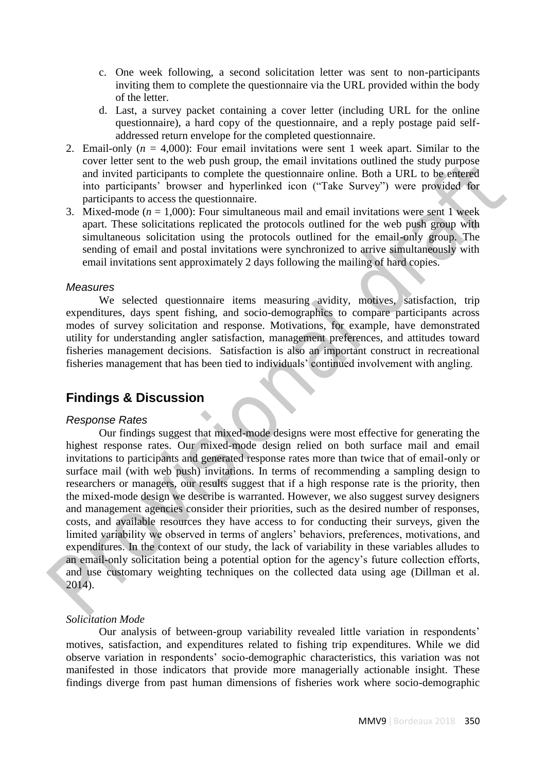- c. One week following, a second solicitation letter was sent to non-participants inviting them to complete the questionnaire via the URL provided within the body of the letter.
- d. Last, a survey packet containing a cover letter (including URL for the online questionnaire), a hard copy of the questionnaire, and a reply postage paid selfaddressed return envelope for the completed questionnaire.
- 2. Email-only  $(n = 4,000)$ : Four email invitations were sent 1 week apart. Similar to the cover letter sent to the web push group, the email invitations outlined the study purpose and invited participants to complete the questionnaire online. Both a URL to be entered into participants' browser and hyperlinked icon ("Take Survey") were provided for participants to access the questionnaire.
- 3. Mixed-mode  $(n = 1,000)$ : Four simultaneous mail and email invitations were sent 1 week apart. These solicitations replicated the protocols outlined for the web push group with simultaneous solicitation using the protocols outlined for the email-only group. The sending of email and postal invitations were synchronized to arrive simultaneously with email invitations sent approximately 2 days following the mailing of hard copies.

### *Measures*

We selected questionnaire items measuring avidity, motives, satisfaction, trip expenditures, days spent fishing, and socio-demographics to compare participants across modes of survey solicitation and response. Motivations, for example, have demonstrated utility for understanding angler satisfaction, management preferences, and attitudes toward fisheries management decisions. Satisfaction is also an important construct in recreational fisheries management that has been tied to individuals' continued involvement with angling.

## **Findings & Discussion**

### *Response Rates*

Our findings suggest that mixed-mode designs were most effective for generating the highest response rates. Our mixed-mode design relied on both surface mail and email invitations to participants and generated response rates more than twice that of email-only or surface mail (with web push) invitations. In terms of recommending a sampling design to researchers or managers, our results suggest that if a high response rate is the priority, then the mixed-mode design we describe is warranted. However, we also suggest survey designers and management agencies consider their priorities, such as the desired number of responses, costs, and available resources they have access to for conducting their surveys, given the limited variability we observed in terms of anglers' behaviors, preferences, motivations, and expenditures. In the context of our study, the lack of variability in these variables alludes to an email-only solicitation being a potential option for the agency's future collection efforts, and use customary weighting techniques on the collected data using age (Dillman et al. 2014). 2. Email-only tre = 4.000): Four email invitations were sent 1 week epart. Smint to the exact that the provision of the traft of the provision of invitations of interest and invitations of invitations of invitations of in

### *Solicitation Mode*

Our analysis of between-group variability revealed little variation in respondents' motives, satisfaction, and expenditures related to fishing trip expenditures. While we did observe variation in respondents' socio-demographic characteristics, this variation was not manifested in those indicators that provide more managerially actionable insight. These findings diverge from past human dimensions of fisheries work where socio-demographic